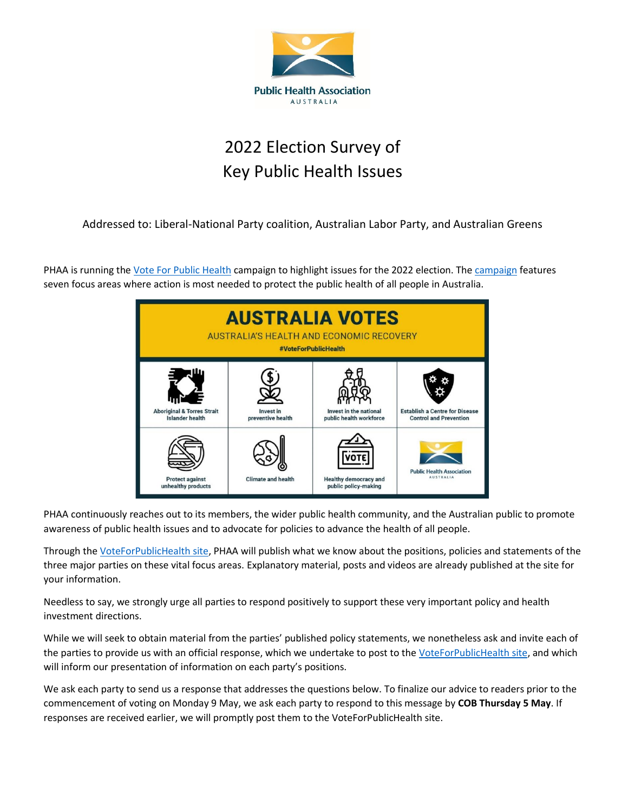

# 2022 Election Survey of Key Public Health Issues

Addressed to: Liberal-National Party coalition, Australian Labor Party, and Australian Greens

PHAA is running the Vote For Public [Health](https://bit.ly/VoteForPublicHealth) [campaign](https://bit.ly/VoteForPublicHealth) to highlight issues for the 2022 election. The campaign features seven focus areas where action is most needed to protect the public health of all people in Australia.



PHAA continuously reaches out to its members, the wider public health community, and the Australian public to promote awareness of public health issues and to advocate for policies to advance the health of all people.

Through th[e VoteForPublicHealth site,](https://bit.ly/VoteForPublicHealth) PHAA will publish what we know about the positions, policies and statements of the three major parties on these vital focus areas. Explanatory material, posts and videos are already published at the site for your information.

Needless to say, we strongly urge all parties to respond positively to support these very important policy and health investment directions.

While we will seek to obtain material from the parties' published policy statements, we nonetheless ask and invite each of the parties to provide us with an official response, which we undertake to post to th[e VoteForPublicHealth site,](https://bit.ly/VoteForPublicHealth) and which will inform our presentation of information on each party's positions.

We ask each party to send us a response that addresses the questions below. To finalize our advice to readers prior to the commencement of voting on Monday 9 May, we ask each party to respond to this message by **COB Thursday 5 May**. If responses are received earlier, we will promptly post them to the VoteForPublicHealth site.